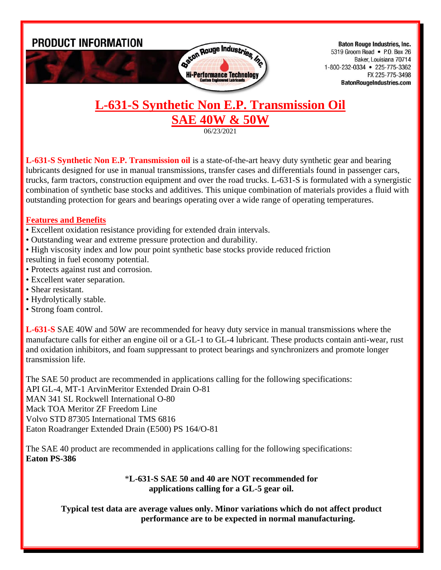

**Baton Rouge Industries, Inc.** 5319 Groom Road • P.O. Box 26 Baker. Louisiana 70714 1-800-232-0334 • 225-775-3362 FX 225-775-3498 **BatonRougeIndustries.com** 

## **L-631-S Synthetic Non E.P. Transmission Oil SAE 40W & 50W**

06/23/2021

**L-631-S Synthetic Non E.P. Transmission oil** is a state-of-the-art heavy duty synthetic gear and bearing lubricants designed for use in manual transmissions, transfer cases and differentials found in passenger cars, trucks, farm tractors, construction equipment and over the road trucks. L-631-S is formulated with a synergistic combination of synthetic base stocks and additives. This unique combination of materials provides a fluid with outstanding protection for gears and bearings operating over a wide range of operating temperatures.

## **Features and Benefits**

- Excellent oxidation resistance providing for extended drain intervals.
- Outstanding wear and extreme pressure protection and durability.
- High viscosity index and low pour point synthetic base stocks provide reduced friction
- resulting in fuel economy potential.
- Protects against rust and corrosion.
- Excellent water separation.
- Shear resistant.
- Hydrolytically stable.
- Strong foam control.

**L-631-S** SAE 40W and 50W are recommended for heavy duty service in manual transmissions where the manufacture calls for either an engine oil or a GL-1 to GL-4 lubricant. These products contain anti-wear, rust and oxidation inhibitors, and foam suppressant to protect bearings and synchronizers and promote longer transmission life.

The SAE 50 product are recommended in applications calling for the following specifications:

API GL-4, MT-1 ArvinMeritor Extended Drain O-81

MAN 341 SL Rockwell International O-80

Mack TOA Meritor ZF Freedom Line

Volvo STD 87305 International TMS 6816

Eaton Roadranger Extended Drain (E500) PS 164/O-81

The SAE 40 product are recommended in applications calling for the following specifications: **Eaton PS-386**

## \***L-631-S SAE 50 and 40 are NOT recommended for applications calling for a GL-5 gear oil.**

**Typical test data are average values only. Minor variations which do not affect product performance are to be expected in normal manufacturing.**